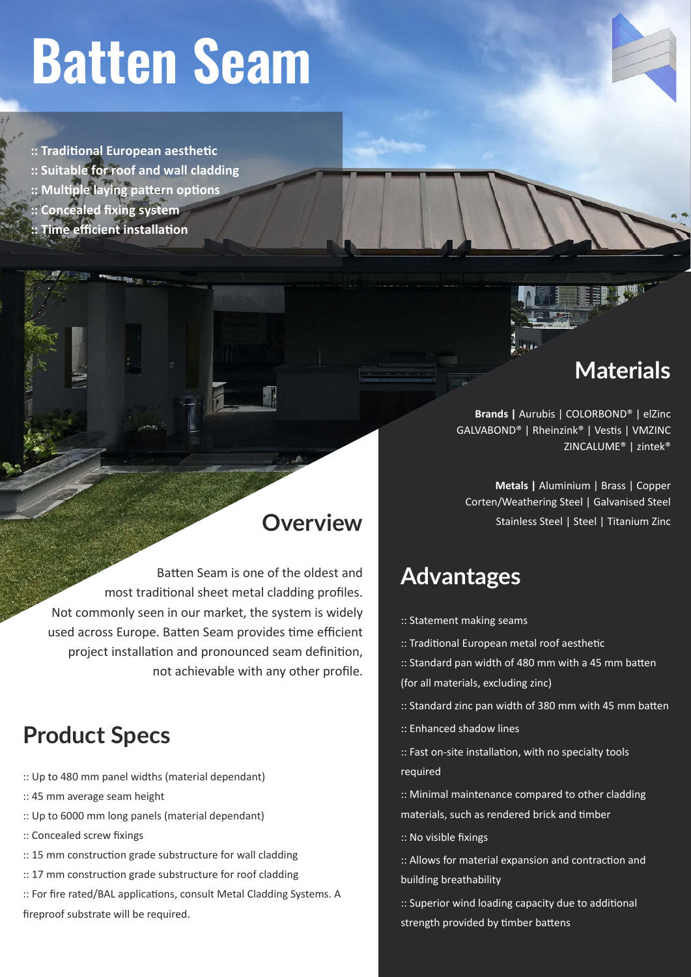# **Batten Seam**

**:: Traditional European aesthetic**

- **:: Suitable for roof and wall cladding**
- **:: Multiple laying pattern options**
- **:: Concealed fixing system**
- **Time efficient installation**

## **Materials**

**Brands |** Aurubis | COLORBOND® | elZinc GALVABOND® | Rheinzink® | Vestis | VMZINC ZINCALUME® | zintek®

**Metals |** Aluminium | Brass | Copper Corten/Weathering Steel | Galvanised Steel Stainless Steel | Steel | Titanium Zinc

## **Advantages**

- :: Statement making seams
- :: Traditional European metal roof aesthetic
- :: Standard pan width of 480 mm with a 45 mm batten (for all materials, excluding zinc)
- :: Standard zinc pan width of 380 mm with 45 mm batten
- :: Enhanced shadow lines
- :: Fast on-site installation, with no specialty tools required
- :: Minimal maintenance compared to other cladding materials, such as rendered brick and timber
- :: No visible fixings
- :: Allows for material expansion and contraction and building breathability
- :: Superior wind loading capacity due to additional strength provided by timber battens

## **Overview**

Batten Seam is one of the oldest and most traditional sheet metal cladding profiles. Not commonly seen in our market, the system is widely used across Europe. Batten Seam provides time efficient project installation and pronounced seam definition, not achievable with any other profile.

## **Product Specs**

- :: Up to 480 mm panel widths (material dependant)
- :: 45 mm average seam height
- :: Up to 6000 mm long panels (material dependant)
- :: Concealed screw fixings
- :: 15 mm construction grade substructure for wall cladding
- :: 17 mm construction grade substructure for roof cladding
- :: For fire rated/BAL applications, consult Metal Cladding Systems. A fireproof substrate will be required.